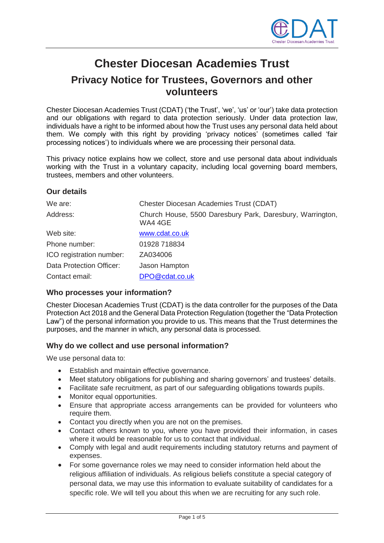

# **Chester Diocesan Academies Trust**

# **Privacy Notice for Trustees, Governors and other volunteers**

Chester Diocesan Academies Trust (CDAT) ('the Trust', 'we', 'us' or 'our') take data protection and our obligations with regard to data protection seriously. Under data protection law, individuals have a right to be informed about how the Trust uses any personal data held about them. We comply with this right by providing 'privacy notices' (sometimes called 'fair processing notices') to individuals where we are processing their personal data.

This privacy notice explains how we collect, store and use personal data about individuals working with the Trust in a voluntary capacity, including local governing board members, trustees, members and other volunteers.

#### **Our details**

| We are:                  | <b>Chester Diocesan Academies Trust (CDAT)</b>                       |
|--------------------------|----------------------------------------------------------------------|
| Address:                 | Church House, 5500 Daresbury Park, Daresbury, Warrington,<br>WA4 4GE |
| Web site:                | www.cdat.co.uk                                                       |
| Phone number:            | 01928 718834                                                         |
| ICO registration number: | ZA034006                                                             |
| Data Protection Officer: | Jason Hampton                                                        |
| Contact email:           | DPO@cdat.co.uk                                                       |

#### **Who processes your information?**

Chester Diocesan Academies Trust (CDAT) is the data controller for the purposes of the Data Protection Act 2018 and the General Data Protection Regulation (together the "Data Protection Law") of the personal information you provide to us. This means that the Trust determines the purposes, and the manner in which, any personal data is processed.

#### **Why do we collect and use personal information?**

We use personal data to:

- Establish and maintain effective governance.
- Meet statutory obligations for publishing and sharing governors' and trustees' details.
- Facilitate safe recruitment, as part of our safeguarding obligations towards pupils.
- Monitor equal opportunities.
- Ensure that appropriate access arrangements can be provided for volunteers who require them.
- Contact you directly when you are not on the premises.
- Contact others known to you, where you have provided their information, in cases where it would be reasonable for us to contact that individual.
- Comply with legal and audit requirements including statutory returns and payment of expenses.
- For some governance roles we may need to consider information held about the religious affiliation of individuals. As religious beliefs constitute a special category of personal data, we may use this information to evaluate suitability of candidates for a specific role. We will tell you about this when we are recruiting for any such role.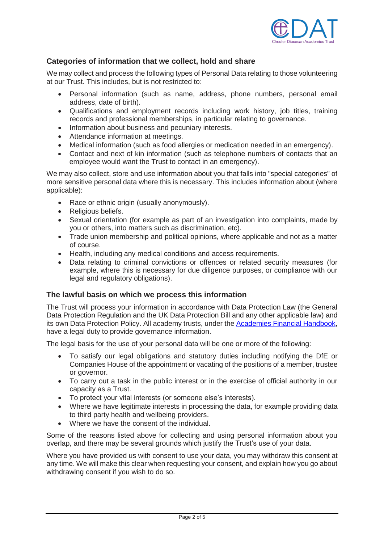

#### **Categories of information that we collect, hold and share**

We may collect and process the following types of Personal Data relating to those volunteering at our Trust. This includes, but is not restricted to:

- Personal information (such as name, address, phone numbers, personal email address, date of birth).
- Qualifications and employment records including work history, job titles, training records and professional memberships, in particular relating to governance.
- Information about business and pecuniary interests.
- Attendance information at meetings.
- Medical information (such as food allergies or medication needed in an emergency).
- Contact and next of kin information (such as telephone numbers of contacts that an employee would want the Trust to contact in an emergency).

We may also collect, store and use information about you that falls into "special categories" of more sensitive personal data where this is necessary. This includes information about (where applicable):

- Race or ethnic origin (usually anonymously).
- Religious beliefs.
- Sexual orientation (for example as part of an investigation into complaints, made by you or others, into matters such as discrimination, etc).
- Trade union membership and political opinions, where applicable and not as a matter of course.
- Health, including any medical conditions and access requirements.
- Data relating to criminal convictions or offences or related security measures (for example, where this is necessary for due diligence purposes, or compliance with our legal and regulatory obligations).

#### **The lawful basis on which we process this information**

The Trust will process your information in accordance with Data Protection Law (the General Data Protection Regulation and the UK Data Protection Bill and any other applicable law) and its own Data Protection Policy. All academy trusts, under the [Academies Financial Handbook,](https://www.gov.uk/government/publications/academies-financial-handbook) have a legal duty to provide governance information.

The legal basis for the use of your personal data will be one or more of the following:

- To satisfy our legal obligations and statutory duties including notifying the DfE or Companies House of the appointment or vacating of the positions of a member, trustee or governor.
- To carry out a task in the public interest or in the exercise of official authority in our capacity as a Trust.
- To protect your vital interests (or someone else's interests).
- Where we have legitimate interests in processing the data, for example providing data to third party health and wellbeing providers.
- Where we have the consent of the individual.

Some of the reasons listed above for collecting and using personal information about you overlap, and there may be several grounds which justify the Trust's use of your data.

Where you have provided us with consent to use your data, you may withdraw this consent at any time. We will make this clear when requesting your consent, and explain how you go about withdrawing consent if you wish to do so.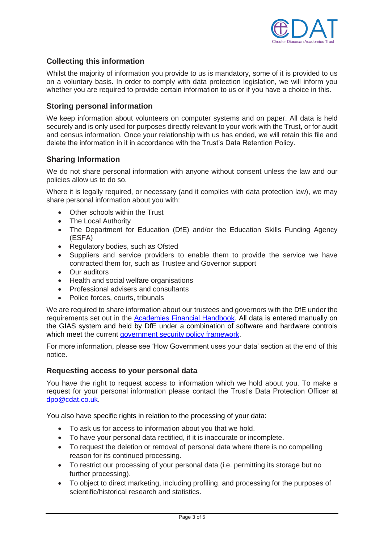

#### **Collecting this information**

Whilst the majority of information you provide to us is mandatory, some of it is provided to us on a voluntary basis. In order to comply with data protection legislation, we will inform you whether you are required to provide certain information to us or if you have a choice in this.

#### **Storing personal information**

We keep information about volunteers on computer systems and on paper. All data is held securely and is only used for purposes directly relevant to your work with the Trust, or for audit and census information. Once your relationship with us has ended, we will retain this file and delete the information in it in accordance with the Trust's Data Retention Policy.

#### **Sharing Information**

We do not share personal information with anyone without consent unless the law and our policies allow us to do so.

Where it is legally required, or necessary (and it complies with data protection law), we may share personal information about you with:

- Other schools within the Trust
- The Local Authority
- The Department for Education (DfE) and/or the Education Skills Funding Agency (ESFA)
- Regulatory bodies, such as Ofsted
- Suppliers and service providers to enable them to provide the service we have contracted them for, such as Trustee and Governor support
- Our auditors
- Health and social welfare organisations
- Professional advisers and consultants
- Police forces, courts, tribunals

We are required to share information about our trustees and governors with the DfE under the requirements set out in the [Academies Financial Handbook.](https://www.gov.uk/government/publications/academies-financial-handbook) All data is entered manually on the GIAS system and held by DfE under a combination of software and hardware controls which meet the current [government security policy framework.](https://www.gov.uk/government/publications/security-policy-framework)

For more information, please see 'How Government uses your data' section at the end of this notice.

#### **Requesting access to your personal data**

You have the right to request access to information which we hold about you. To make a request for your personal information please contact the Trust's Data Protection Officer at [dpo@cdat.co.uk.](mailto:dpo@cdat.co.uk)

You also have specific rights in relation to the processing of your data:

- To ask us for access to information about you that we hold.
- To have your personal data rectified, if it is inaccurate or incomplete.
- To request the deletion or removal of personal data where there is no compelling reason for its continued processing.
- To restrict our processing of your personal data (i.e. permitting its storage but no further processing).
- To object to direct marketing, including profiling, and processing for the purposes of scientific/historical research and statistics.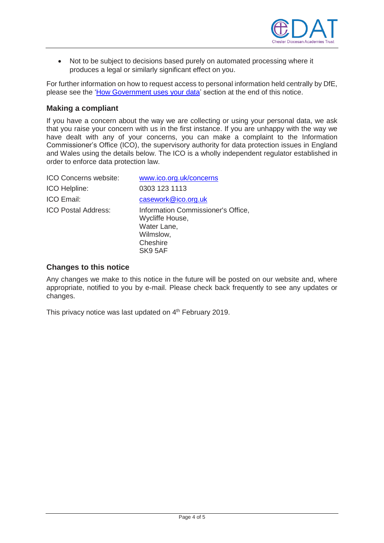

• Not to be subject to decisions based purely on automated processing where it produces a legal or similarly significant effect on you.

For further information on how to request access to personal information held centrally by DfE, please see the ['How Government uses your data'](#page-4-0) section at the end of this notice.

#### **Making a compliant**

If you have a concern about the way we are collecting or using your personal data, we ask that you raise your concern with us in the first instance. If you are unhappy with the way we have dealt with any of your concerns, you can make a complaint to the Information Commissioner's Office (ICO), the supervisory authority for data protection issues in England and Wales using the details below. The ICO is a wholly independent regulator established in order to enforce data protection law.

| ICO Concerns website:      | www.ico.org.uk/concerns                                                                                  |
|----------------------------|----------------------------------------------------------------------------------------------------------|
| <b>ICO Helpline:</b>       | 0303 123 1113                                                                                            |
| <b>ICO Email:</b>          | casework@ico.org.uk                                                                                      |
| <b>ICO Postal Address:</b> | Information Commissioner's Office,<br>Wycliffe House,<br>Water Lane,<br>Wilmslow,<br>Cheshire<br>SK9 5AF |

#### **Changes to this notice**

Any changes we make to this notice in the future will be posted on our website and, where appropriate, notified to you by e-mail. Please check back frequently to see any updates or changes.

This privacy notice was last updated on 4<sup>th</sup> February 2019.